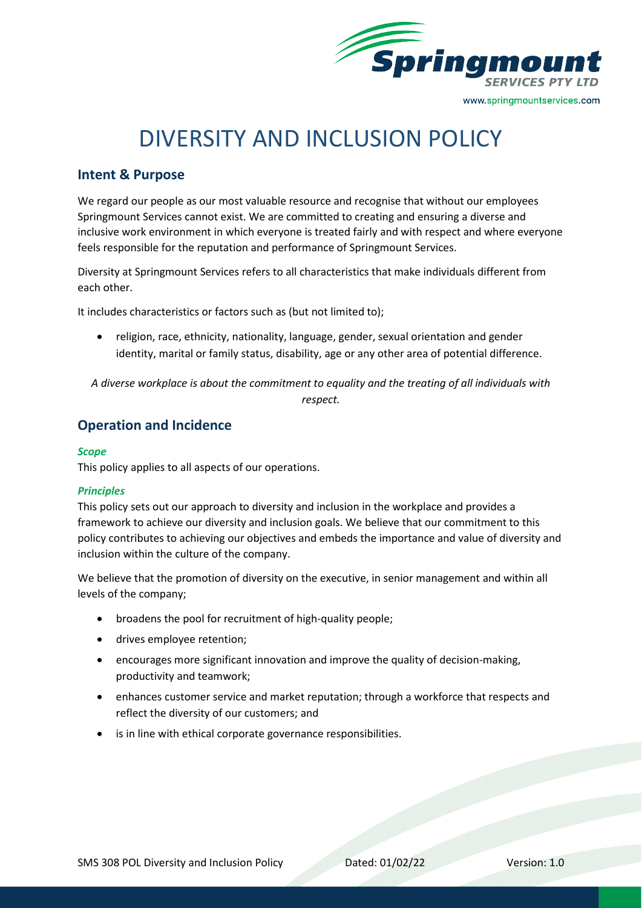

# DIVERSITY AND INCLUSION POLICY

## **Intent & Purpose**

We regard our people as our most valuable resource and recognise that without our employees Springmount Services cannot exist. We are committed to creating and ensuring a diverse and inclusive work environment in which everyone is treated fairly and with respect and where everyone feels responsible for the reputation and performance of Springmount Services.

Diversity at Springmount Services refers to all characteristics that make individuals different from each other.

It includes characteristics or factors such as (but not limited to);

• religion, race, ethnicity, nationality, language, gender, sexual orientation and gender identity, marital or family status, disability, age or any other area of potential difference.

*A diverse workplace is about the commitment to equality and the treating of all individuals with respect.*

# **Operation and Incidence**

#### *Scope*

This policy applies to all aspects of our operations.

#### *Principles*

This policy sets out our approach to diversity and inclusion in the workplace and provides a framework to achieve our diversity and inclusion goals. We believe that our commitment to this policy contributes to achieving our objectives and embeds the importance and value of diversity and inclusion within the culture of the company.

We believe that the promotion of diversity on the executive, in senior management and within all levels of the company;

- broadens the pool for recruitment of high-quality people;
- drives employee retention;
- encourages more significant innovation and improve the quality of decision-making, productivity and teamwork;
- enhances customer service and market reputation; through a workforce that respects and reflect the diversity of our customers; and
- is in line with ethical corporate governance responsibilities.